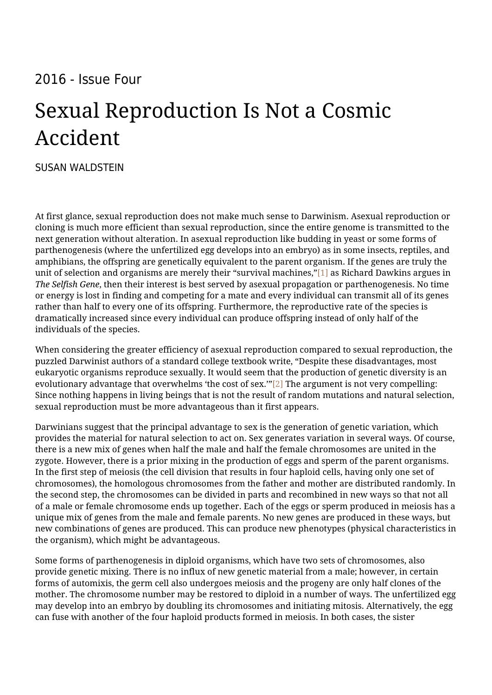## 2016 - Issue Four

## Sexual Reproduction Is Not a Cosmic Accident

[SUSAN WALDSTEIN](https://humanumreview.com/contributors/susan-waldstein)

At first glance, sexual reproduction does not make much sense to Darwinism. Asexual reproduction or cloning is much more efficient than sexual reproduction, since the entire genome is transmitted to the next generation without alteration. In asexual reproduction like budding in yeast or some forms of parthenogenesis (where the unfertilized egg develops into an embryo) as in some insects, reptiles, and amphibians, the offspring are genetically equivalent to the parent organism. If the genes are truly the unit of selection and organisms are merely their "survival machines,["\[1\]](#page--1-0) as Richard Dawkins argues in *The Selfish Gene*, then their interest is best served by asexual propagation or parthenogenesis. No time or energy is lost in finding and competing for a mate and every individual can transmit all of its genes rather than half to every one of its offspring. Furthermore, the reproductive rate of the species is dramatically increased since every individual can produce offspring instead of only half of the individuals of the species.

When considering the greater efficiency of asexual reproduction compared to sexual reproduction, the puzzled Darwinist authors of a standard college textbook write, "Despite these disadvantages, most eukaryotic organisms reproduce sexually. It would seem that the production of genetic diversity is an evolutionary advantage that overwhelms 'the cost of sex."'[\[2\]](#page--1-0) The argument is not very compelling: Since nothing happens in living beings that is not the result of random mutations and natural selection, sexual reproduction must be more advantageous than it first appears.

Darwinians suggest that the principal advantage to sex is the generation of genetic variation, which provides the material for natural selection to act on. Sex generates variation in several ways. Of course, there is a new mix of genes when half the male and half the female chromosomes are united in the zygote. However, there is a prior mixing in the production of eggs and sperm of the parent organisms. In the first step of meiosis (the cell division that results in four haploid cells, having only one set of chromosomes), the homologous chromosomes from the father and mother are distributed randomly. In the second step, the chromosomes can be divided in parts and recombined in new ways so that not all of a male or female chromosome ends up together. Each of the eggs or sperm produced in meiosis has a unique mix of genes from the male and female parents. No new genes are produced in these ways, but new combinations of genes are produced. This can produce new phenotypes (physical characteristics in the organism), which might be advantageous.

Some forms of parthenogenesis in diploid organisms, which have two sets of chromosomes, also provide genetic mixing. There is no influx of new genetic material from a male; however, in certain forms of automixis, the germ cell also undergoes meiosis and the progeny are only half clones of the mother. The chromosome number may be restored to diploid in a number of ways. The unfertilized egg may develop into an embryo by doubling its chromosomes and initiating mitosis. Alternatively, the egg can fuse with another of the four haploid products formed in meiosis. In both cases, the sister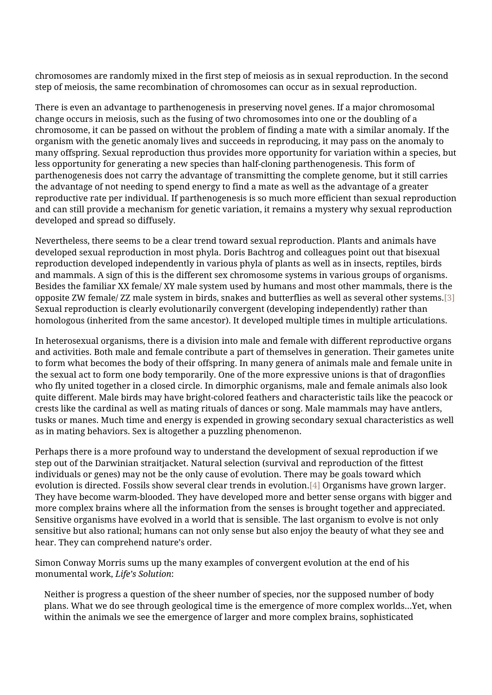chromosomes are randomly mixed in the first step of meiosis as in sexual reproduction. In the second step of meiosis, the same recombination of chromosomes can occur as in sexual reproduction.

There is even an advantage to parthenogenesis in preserving novel genes. If a major chromosomal change occurs in meiosis, such as the fusing of two chromosomes into one or the doubling of a chromosome, it can be passed on without the problem of finding a mate with a similar anomaly. If the organism with the genetic anomaly lives and succeeds in reproducing, it may pass on the anomaly to many offspring. Sexual reproduction thus provides more opportunity for variation within a species, but less opportunity for generating a new species than half-cloning parthenogenesis. This form of parthenogenesis does not carry the advantage of transmitting the complete genome, but it still carries the advantage of not needing to spend energy to find a mate as well as the advantage of a greater reproductive rate per individual. If parthenogenesis is so much more efficient than sexual reproduction and can still provide a mechanism for genetic variation, it remains a mystery why sexual reproduction developed and spread so diffusely.

Nevertheless, there seems to be a clear trend toward sexual reproduction. Plants and animals have developed sexual reproduction in most phyla. Doris Bachtrog and colleagues point out that bisexual reproduction developed independently in various phyla of plants as well as in insects, reptiles, birds and mammals. A sign of this is the different sex chromosome systems in various groups of organisms. Besides the familiar XX female/ XY male system used by humans and most other mammals, there is the opposite ZW female/ ZZ male system in birds, snakes and butterflies as well as several other systems[.\[3\]](#page--1-0) Sexual reproduction is clearly evolutionarily convergent (developing independently) rather than homologous (inherited from the same ancestor). It developed multiple times in multiple articulations.

In heterosexual organisms, there is a division into male and female with different reproductive organs and activities. Both male and female contribute a part of themselves in generation. Their gametes unite to form what becomes the body of their offspring. In many genera of animals male and female unite in the sexual act to form one body temporarily. One of the more expressive unions is that of dragonflies who fly united together in a closed circle. In dimorphic organisms, male and female animals also look quite different. Male birds may have bright-colored feathers and characteristic tails like the peacock or crests like the cardinal as well as mating rituals of dances or song. Male mammals may have antlers, tusks or manes. Much time and energy is expended in growing secondary sexual characteristics as well as in mating behaviors. Sex is altogether a puzzling phenomenon.

Perhaps there is a more profound way to understand the development of sexual reproduction if we step out of the Darwinian straitjacket. Natural selection (survival and reproduction of the fittest individuals or genes) may not be the only cause of evolution. There may be goals toward which evolution is directed. Fossils show several clear trends in evolution.[\[4\]](#page--1-0) Organisms have grown larger. They have become warm-blooded. They have developed more and better sense organs with bigger and more complex brains where all the information from the senses is brought together and appreciated. Sensitive organisms have evolved in a world that is sensible. The last organism to evolve is not only sensitive but also rational; humans can not only sense but also enjoy the beauty of what they see and hear. They can comprehend nature's order.

Simon Conway Morris sums up the many examples of convergent evolution at the end of his monumental work, *Life's Solution*:

Neither is progress a question of the sheer number of species, nor the supposed number of body plans. What we do see through geological time is the emergence of more complex worlds…Yet, when within the animals we see the emergence of larger and more complex brains, sophisticated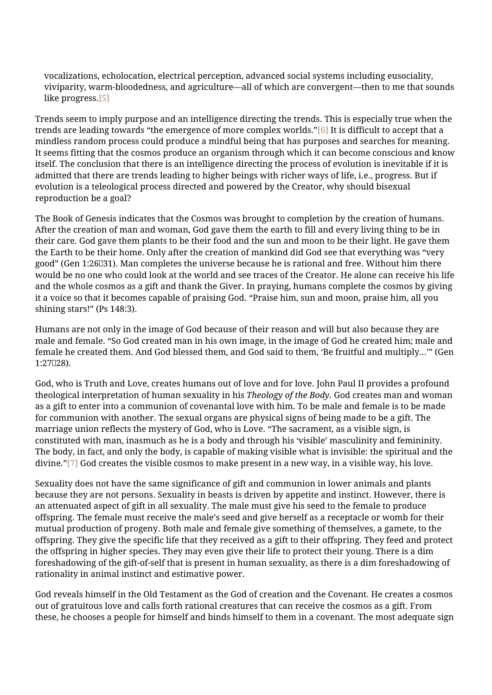vocalizations, echolocation, electrical perception, advanced social systems including eusociality, viviparity, warm-bloodedness, and agriculture—all of which are convergent—then to me that sounds like progress.[\[5\]](#page--1-0)

Trends seem to imply purpose and an intelligence directing the trends. This is especially true when the trends are leading towards "the emergence of more complex worlds.["\[6\]](#page--1-0) It is difficult to accept that a mindless random process could produce a mindful being that has purposes and searches for meaning. It seems fitting that the cosmos produce an organism through which it can become conscious and know itself. The conclusion that there is an intelligence directing the process of evolution is inevitable if it is admitted that there are trends leading to higher beings with richer ways of life, i.e., progress. But if evolution is a teleological process directed and powered by the Creator, why should bisexual reproduction be a goal?

The Book of Genesis indicates that the Cosmos was brought to completion by the creation of humans. After the creation of man and woman, God gave them the earth to fill and every living thing to be in their care. God gave them plants to be their food and the sun and moon to be their light. He gave them the Earth to be their home. Only after the creation of mankind did God see that everything was "very good" (Gen 1:26‒31). Man completes the universe because he is rational and free. Without him there would be no one who could look at the world and see traces of the Creator. He alone can receive his life and the whole cosmos as a gift and thank the Giver. In praying, humans complete the cosmos by giving it a voice so that it becomes capable of praising God. "Praise him, sun and moon, praise him, all you shining stars!" (Ps 148:3).

Humans are not only in the image of God because of their reason and will but also because they are male and female. "So God created man in his own image, in the image of God he created him; male and female he created them. And God blessed them, and God said to them, 'Be fruitful and multiply…'" (Gen 1:27‒28).

God, who is Truth and Love, creates humans out of love and for love. John Paul II provides a profound theological interpretation of human sexuality in his *Theology of the Body.* God creates man and woman as a gift to enter into a communion of covenantal love with him. To be male and female is to be made for communion with another. The sexual organs are physical signs of being made to be a gift. The marriage union reflects the mystery of God, who is Love. "The sacrament, as a visible sign, is constituted with man, inasmuch as he is a body and through his 'visible' masculinity and femininity. The body, in fact, and only the body, is capable of making visible what is invisible: the spiritual and the divine*.*["\[7\]](#page--1-0) God creates the visible cosmos to make present in a new way, in a visible way, his love.

Sexuality does not have the same significance of gift and communion in lower animals and plants because they are not persons. Sexuality in beasts is driven by appetite and instinct. However, there is an attenuated aspect of gift in all sexuality. The male must give his seed to the female to produce offspring. The female must receive the male's seed and give herself as a receptacle or womb for their mutual production of progeny. Both male and female give something of themselves, a gamete, to the offspring. They give the specific life that they received as a gift to their offspring. They feed and protect the offspring in higher species. They may even give their life to protect their young. There is a dim foreshadowing of the gift-of-self that is present in human sexuality, as there is a dim foreshadowing of rationality in animal instinct and estimative power.

God reveals himself in the Old Testament as the God of creation and the Covenant. He creates a cosmos out of gratuitous love and calls forth rational creatures that can receive the cosmos as a gift. From these, he chooses a people for himself and binds himself to them in a covenant. The most adequate sign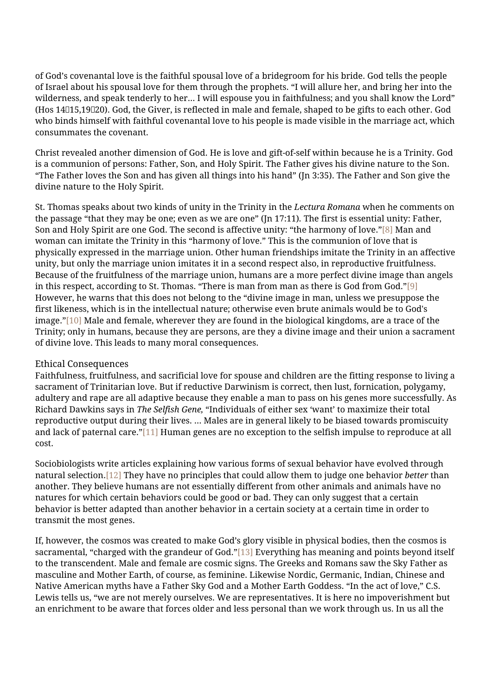of God's covenantal love is the faithful spousal love of a bridegroom for his bride. God tells the people of Israel about his spousal love for them through the prophets. "I will allure her, and bring her into the wilderness, and speak tenderly to her… I will espouse you in faithfulness; and you shall know the Lord" (Hos 14‒15,19‒20). God, the Giver, is reflected in male and female, shaped to be gifts to each other. God who binds himself with faithful covenantal love to his people is made visible in the marriage act, which consummates the covenant.

Christ revealed another dimension of God. He is love and gift-of-self within because he is a Trinity. God is a communion of persons: Father, Son, and Holy Spirit. The Father gives his divine nature to the Son. "The Father loves the Son and has given all things into his hand" (Jn 3:35). The Father and Son give the divine nature to the Holy Spirit.

St. Thomas speaks about two kinds of unity in the Trinity in the *Lectura Romana* when he comments on the passage "that they may be one; even as we are one" (Jn 17:11)*.* The first is essential unity: Father, Son and Holy Spirit are one God. The second is affective unity: "the harmony of love.["\[8\]](#page--1-0) Man and woman can imitate the Trinity in this "harmony of love." This is the communion of love that is physically expressed in the marriage union. Other human friendships imitate the Trinity in an affective unity, but only the marriage union imitates it in a second respect also, in reproductive fruitfulness. Because of the fruitfulness of the marriage union, humans are a more perfect divine image than angels in this respect, according to St. Thomas. "There is man from man as there is God from God."[\[9\]](#page--1-0) However, he warns that this does not belong to the "divine image in man, unless we presuppose the first likeness, which is in the intellectual nature; otherwise even brute animals would be to God's image.["\[10\]](#page--1-0) Male and female, wherever they are found in the biological kingdoms, are a trace of the Trinity; only in humans, because they are persons, are they a divine image and their union a sacrament of divine love. This leads to many moral consequences.

## Ethical Consequences

Faithfulness, fruitfulness, and sacrificial love for spouse and children are the fitting response to living a sacrament of Trinitarian love. But if reductive Darwinism is correct, then lust, fornication, polygamy, adultery and rape are all adaptive because they enable a man to pass on his genes more successfully. As Richard Dawkins says in *The Selfish Gene,* "Individuals of either sex 'want' to maximize their total reproductive output during their lives. … Males are in general likely to be biased towards promiscuity and lack of paternal care."[\[11\]](#page--1-0) Human genes are no exception to the selfish impulse to reproduce at all cost.

Sociobiologists write articles explaining how various forms of sexual behavior have evolved through natural selection[.\[12\]](#page--1-0) They have no principles that could allow them to judge one behavior *better* than another. They believe humans are not essentially different from other animals and animals have no natures for which certain behaviors could be good or bad. They can only suggest that a certain behavior is better adapted than another behavior in a certain society at a certain time in order to transmit the most genes.

If, however, the cosmos was created to make God's glory visible in physical bodies, then the cosmos is sacramental, "charged with the grandeur of God.["\[13\]](#page--1-0) Everything has meaning and points beyond itself to the transcendent. Male and female are cosmic signs. The Greeks and Romans saw the Sky Father as masculine and Mother Earth, of course, as feminine. Likewise Nordic, Germanic, Indian, Chinese and Native American myths have a Father Sky God and a Mother Earth Goddess. "In the act of love," C.S. Lewis tells us, "we are not merely ourselves. We are representatives. It is here no impoverishment but an enrichment to be aware that forces older and less personal than we work through us. In us all the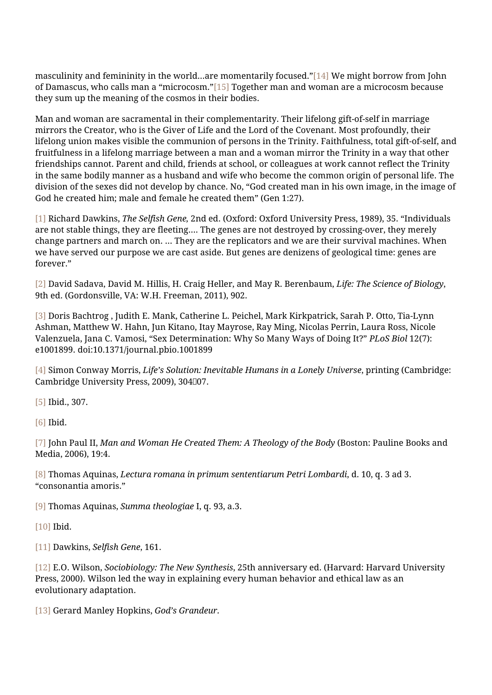masculinity and femininity in the world…are momentarily focused.["\[14\]](#page--1-0) We might borrow from John of Damascus, who calls man a "microcosm."[\[15\]](#page--1-0) Together man and woman are a microcosm because they sum up the meaning of the cosmos in their bodies.

Man and woman are sacramental in their complementarity. Their lifelong gift-of-self in marriage mirrors the Creator, who is the Giver of Life and the Lord of the Covenant. Most profoundly, their lifelong union makes visible the communion of persons in the Trinity. Faithfulness, total gift-of-self, and fruitfulness in a lifelong marriage between a man and a woman mirror the Trinity in a way that other friendships cannot. Parent and child, friends at school, or colleagues at work cannot reflect the Trinity in the same bodily manner as a husband and wife who become the common origin of personal life. The division of the sexes did not develop by chance. No, "God created man in his own image, in the image of God he created him; male and female he created them" (Gen 1:27).

[\[1\]](#page--1-0) Richard Dawkins, *The Selfish Gene,* 2nd ed. (Oxford: Oxford University Press, 1989), 35. "Individuals are not stable things, they are fleeting…. The genes are not destroyed by crossing-over, they merely change partners and march on. … They are the replicators and we are their survival machines. When we have served our purpose we are cast aside. But genes are denizens of geological time: genes are forever."

[\[2\]](#page--1-0) David Sadava, David M. Hillis, H. Craig Heller, and May R. Berenbaum, *Life: The Science of Biology*, 9th ed. (Gordonsville, VA: W.H. Freeman, 2011), 902.

[\[3\]](#page--1-0) Doris Bachtrog , Judith E. Mank, Catherine L. Peichel, Mark Kirkpatrick, Sarah P. Otto, Tia-Lynn Ashman, Matthew W. Hahn, Jun Kitano, Itay Mayrose, Ray Ming, Nicolas Perrin, Laura Ross, Nicole Valenzuela, Jana C. Vamosi, "Sex Determination: Why So Many Ways of Doing It?" *PLoS Biol* 12(7): e1001899. doi:10.1371/journal.pbio.1001899

[\[4\]](#page--1-0) Simon Conway Morris, *Life's Solution: Inevitable Humans in a Lonely Universe*, printing (Cambridge: Cambridge University Press, 2009), 304007.

[\[5\]](#page--1-0) Ibid., 307.

[\[6\]](#page--1-0) Ibid.

[\[7\]](#page--1-0) John Paul II, *Man and Woman He Created Them: A Theology of the Body* (Boston: Pauline Books and Media, 2006), 19:4.

[\[8\]](#page--1-0) Thomas Aquinas, *Lectura romana in primum sententiarum Petri Lombardi*, d. 10, q. 3 ad 3. "consonantia amoris."

[\[9\]](#page--1-0) Thomas Aquinas, *Summa theologiae* I, q. 93, a.3.

[\[10\]](#page--1-0) Ibid.

[\[11\]](#page--1-0) Dawkins, *Selfish Gene*, 161.

[\[12\]](#page--1-0) E.O. Wilson, *Sociobiology: The New Synthesis*, 25th anniversary ed. (Harvard: Harvard University Press, 2000). Wilson led the way in explaining every human behavior and ethical law as an evolutionary adaptation.

[\[13\]](#page--1-0) Gerard Manley Hopkins, *God's Grandeur.*